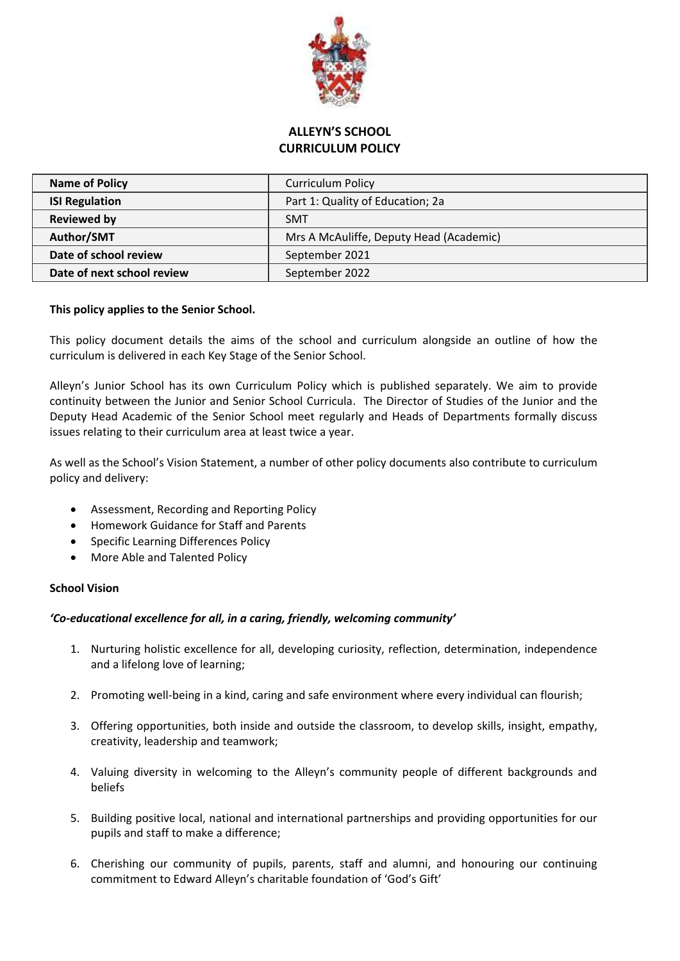

# **ALLEYN'S SCHOOL CURRICULUM POLICY**

| <b>Name of Policy</b>      | <b>Curriculum Policy</b>                |
|----------------------------|-----------------------------------------|
| <b>ISI Regulation</b>      | Part 1: Quality of Education; 2a        |
| Reviewed by                | <b>SMT</b>                              |
| Author/SMT                 | Mrs A McAuliffe, Deputy Head (Academic) |
| Date of school review      | September 2021                          |
| Date of next school review | September 2022                          |

# **This policy applies to the Senior School.**

This policy document details the aims of the school and curriculum alongside an outline of how the curriculum is delivered in each Key Stage of the Senior School.

Alleyn's Junior School has its own Curriculum Policy which is published separately. We aim to provide continuity between the Junior and Senior School Curricula. The Director of Studies of the Junior and the Deputy Head Academic of the Senior School meet regularly and Heads of Departments formally discuss issues relating to their curriculum area at least twice a year.

As well as the School's Vision Statement, a number of other policy documents also contribute to curriculum policy and delivery:

- Assessment, Recording and Reporting Policy
- Homework Guidance for Staff and Parents
- Specific Learning Differences Policy
- More Able and Talented Policy

### **School Vision**

### *'Co-educational excellence for all, in a caring, friendly, welcoming community'*

- 1. Nurturing holistic excellence for all, developing curiosity, reflection, determination, independence and a lifelong love of learning;
- 2. Promoting well-being in a kind, caring and safe environment where every individual can flourish;
- 3. Offering opportunities, both inside and outside the classroom, to develop skills, insight, empathy, creativity, leadership and teamwork;
- 4. Valuing diversity in welcoming to the Alleyn's community people of different backgrounds and beliefs
- 5. Building positive local, national and international partnerships and providing opportunities for our pupils and staff to make a difference;
- 6. Cherishing our community of pupils, parents, staff and alumni, and honouring our continuing commitment to Edward Alleyn's charitable foundation of 'God's Gift'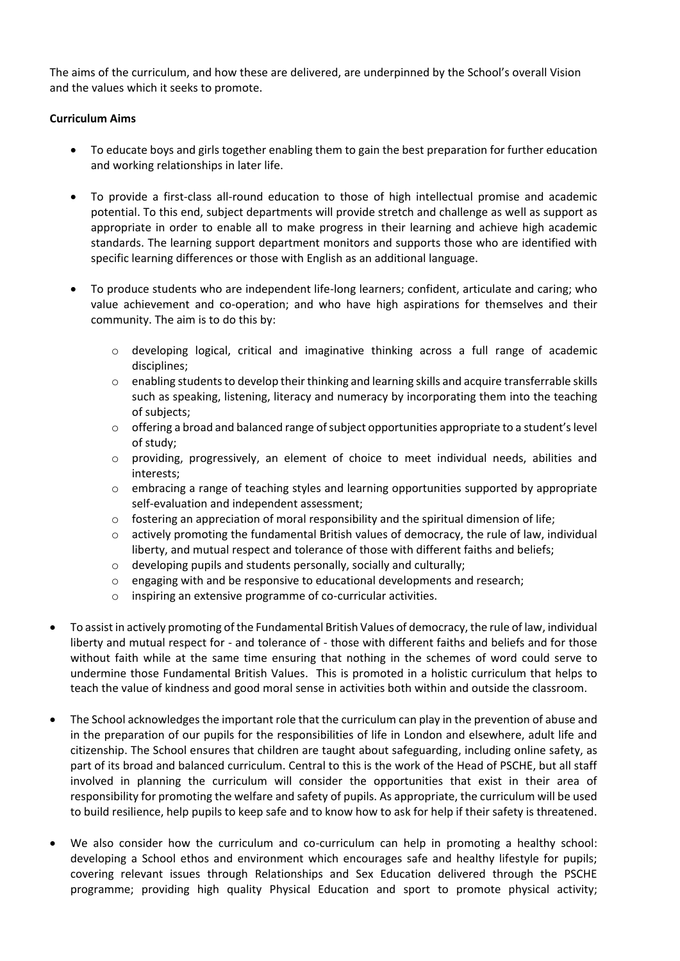The aims of the curriculum, and how these are delivered, are underpinned by the School's overall Vision and the values which it seeks to promote.

# **Curriculum Aims**

- To educate boys and girls together enabling them to gain the best preparation for further education and working relationships in later life.
- To provide a first-class all-round education to those of high intellectual promise and academic potential. To this end, subject departments will provide stretch and challenge as well as support as appropriate in order to enable all to make progress in their learning and achieve high academic standards. The learning support department monitors and supports those who are identified with specific learning differences or those with English as an additional language.
- To produce students who are independent life-long learners; confident, articulate and caring; who value achievement and co-operation; and who have high aspirations for themselves and their community. The aim is to do this by:
	- $\circ$  developing logical, critical and imaginative thinking across a full range of academic disciplines;
	- $\circ$  enabling students to develop their thinking and learning skills and acquire transferrable skills such as speaking, listening, literacy and numeracy by incorporating them into the teaching of subjects;
	- $\circ$  offering a broad and balanced range of subject opportunities appropriate to a student's level of study;
	- $\circ$  providing, progressively, an element of choice to meet individual needs, abilities and interests;
	- $\circ$  embracing a range of teaching styles and learning opportunities supported by appropriate self-evaluation and independent assessment;
	- $\circ$  fostering an appreciation of moral responsibility and the spiritual dimension of life;
	- $\circ$  actively promoting the fundamental British values of democracy, the rule of law, individual liberty, and mutual respect and tolerance of those with different faiths and beliefs;
	- o developing pupils and students personally, socially and culturally;
	- o engaging with and be responsive to educational developments and research;
	- o inspiring an extensive programme of co-curricular activities.
- To assist in actively promoting of the Fundamental British Values of democracy, the rule of law, individual liberty and mutual respect for - and tolerance of - those with different faiths and beliefs and for those without faith while at the same time ensuring that nothing in the schemes of word could serve to undermine those Fundamental British Values. This is promoted in a holistic curriculum that helps to teach the value of kindness and good moral sense in activities both within and outside the classroom.
- The School acknowledges the important role that the curriculum can play in the prevention of abuse and in the preparation of our pupils for the responsibilities of life in London and elsewhere, adult life and citizenship. The School ensures that children are taught about safeguarding, including online safety, as part of its broad and balanced curriculum. Central to this is the work of the Head of PSCHE, but all staff involved in planning the curriculum will consider the opportunities that exist in their area of responsibility for promoting the welfare and safety of pupils. As appropriate, the curriculum will be used to build resilience, help pupils to keep safe and to know how to ask for help if their safety is threatened.
- We also consider how the curriculum and co-curriculum can help in promoting a healthy school: developing a School ethos and environment which encourages safe and healthy lifestyle for pupils; covering relevant issues through Relationships and Sex Education delivered through the PSCHE programme; providing high quality Physical Education and sport to promote physical activity;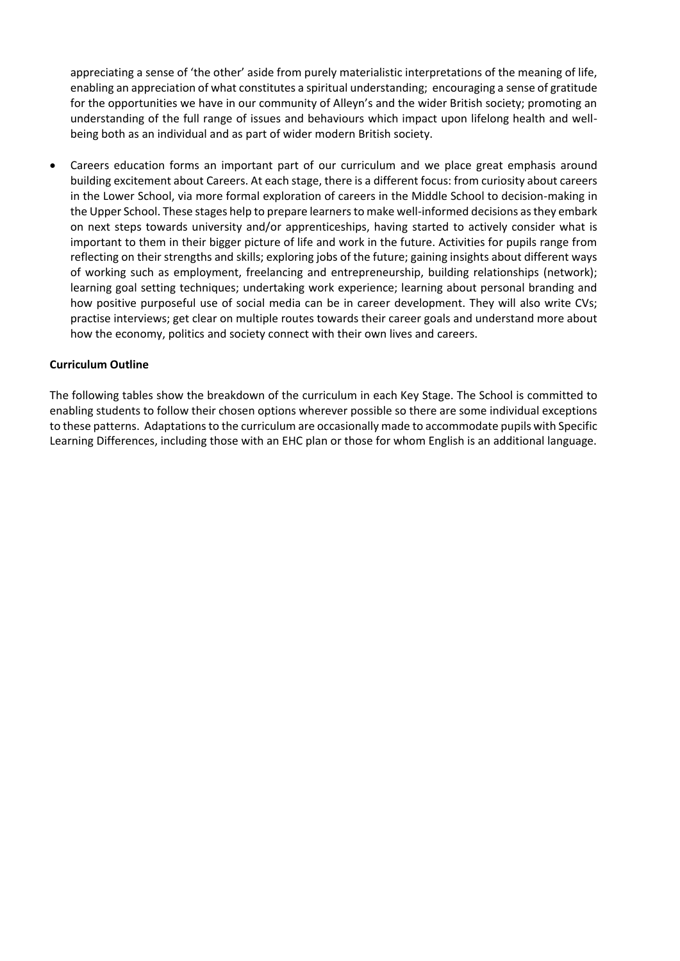appreciating a sense of 'the other' aside from purely materialistic interpretations of the meaning of life, enabling an appreciation of what constitutes a spiritual understanding; encouraging a sense of gratitude for the opportunities we have in our community of Alleyn's and the wider British society; promoting an understanding of the full range of issues and behaviours which impact upon lifelong health and wellbeing both as an individual and as part of wider modern British society.

• Careers education forms an important part of our curriculum and we place great emphasis around building excitement about Careers. At each stage, there is a different focus: from curiosity about careers in the Lower School, via more formal exploration of careers in the Middle School to decision-making in the Upper School. These stages help to prepare learners to make well-informed decisions as they embark on next steps towards university and/or apprenticeships, having started to actively consider what is important to them in their bigger picture of life and work in the future. Activities for pupils range from reflecting on their strengths and skills; exploring jobs of the future; gaining insights about different ways of working such as employment, freelancing and entrepreneurship, building relationships (network); learning goal setting techniques; undertaking work experience; learning about personal branding and how positive purposeful use of social media can be in career development. They will also write CVs; practise interviews; get clear on multiple routes towards their career goals and understand more about how the economy, politics and society connect with their own lives and careers.

### **Curriculum Outline**

The following tables show the breakdown of the curriculum in each Key Stage. The School is committed to enabling students to follow their chosen options wherever possible so there are some individual exceptions to these patterns. Adaptations to the curriculum are occasionally made to accommodate pupils with Specific Learning Differences, including those with an EHC plan or those for whom English is an additional language.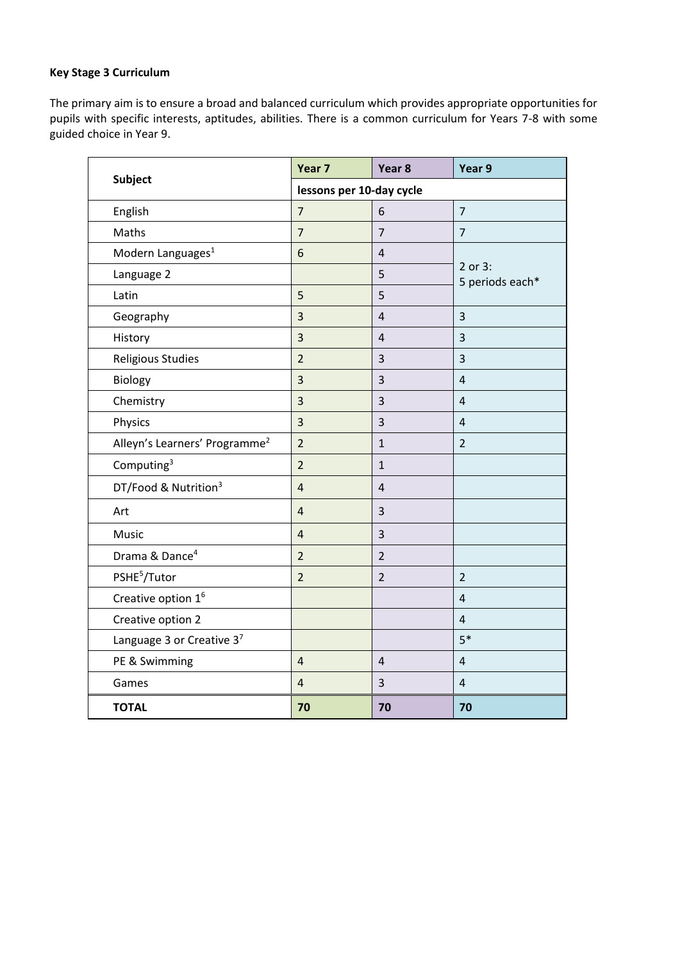# **Key Stage 3 Curriculum**

The primary aim is to ensure a broad and balanced curriculum which provides appropriate opportunities for pupils with specific interests, aptitudes, abilities. There is a common curriculum for Years 7-8 with some guided choice in Year 9.

|                                           | Year 7                   | Year 8         | Year 9                     |
|-------------------------------------------|--------------------------|----------------|----------------------------|
| <b>Subject</b>                            | lessons per 10-day cycle |                |                            |
| English                                   | $\overline{7}$           | 6              | $\overline{7}$             |
| Maths                                     | $\overline{7}$           | $\overline{7}$ | $\overline{7}$             |
| Modern Languages <sup>1</sup>             | 6                        | $\overline{4}$ | 2 or 3:<br>5 periods each* |
| Language 2                                |                          | 5              |                            |
| Latin                                     | 5                        | 5              |                            |
| Geography                                 | 3                        | $\overline{4}$ | 3                          |
| History                                   | 3                        | $\overline{4}$ | 3                          |
| Religious Studies                         | $\overline{2}$           | $\overline{3}$ | 3                          |
| Biology                                   | 3                        | 3              | $\overline{4}$             |
| Chemistry                                 | 3                        | 3              | $\overline{4}$             |
| Physics                                   | $\overline{3}$           | 3              | $\overline{4}$             |
| Alleyn's Learners' Programme <sup>2</sup> | $\overline{2}$           | $\mathbf{1}$   | $\overline{2}$             |
| Computing <sup>3</sup>                    | $\overline{2}$           | $\mathbf{1}$   |                            |
| DT/Food & Nutrition <sup>3</sup>          | $\overline{4}$           | $\overline{4}$ |                            |
| Art                                       | $\overline{4}$           | 3              |                            |
| Music                                     | $\overline{4}$           | 3              |                            |
| Drama & Dance <sup>4</sup>                | $\overline{2}$           | $\overline{2}$ |                            |
| PSHE <sup>5</sup> /Tutor                  | $\overline{2}$           | $\overline{2}$ | $\overline{2}$             |
| Creative option 1 <sup>6</sup>            |                          |                | $\overline{4}$             |
| Creative option 2                         |                          |                | 4                          |
| Language 3 or Creative 37                 |                          |                | $5*$                       |
| PE & Swimming                             | $\overline{4}$           | $\overline{4}$ | $\overline{4}$             |
| Games                                     | $\overline{4}$           | $\overline{3}$ | $\overline{4}$             |
| <b>TOTAL</b>                              | 70                       | 70             | 70                         |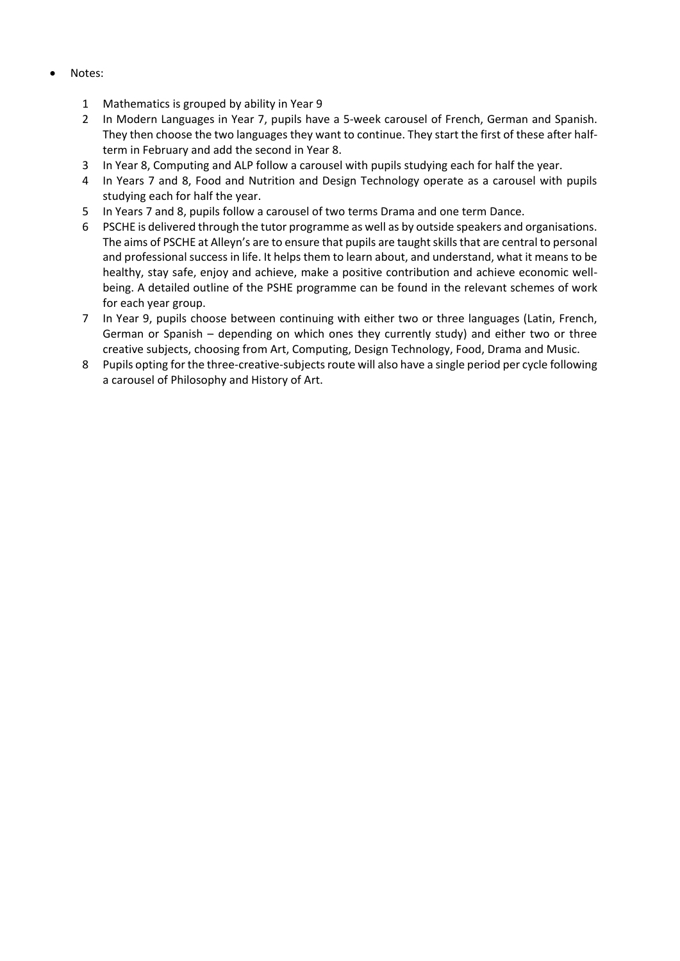- Notes:
	- 1 Mathematics is grouped by ability in Year 9
	- 2 In Modern Languages in Year 7, pupils have a 5-week carousel of French, German and Spanish. They then choose the two languages they want to continue. They start the first of these after halfterm in February and add the second in Year 8.
	- 3 In Year 8, Computing and ALP follow a carousel with pupils studying each for half the year.
	- 4 In Years 7 and 8, Food and Nutrition and Design Technology operate as a carousel with pupils studying each for half the year.
	- 5 In Years 7 and 8, pupils follow a carousel of two terms Drama and one term Dance.
	- 6 PSCHE is delivered through the tutor programme as well as by outside speakers and organisations. The aims of PSCHE at Alleyn's are to ensure that pupils are taught skills that are central to personal and professional success in life. It helps them to learn about, and understand, what it means to be healthy, stay safe, enjoy and achieve, make a positive contribution and achieve economic wellbeing. A detailed outline of the PSHE programme can be found in the relevant schemes of work for each year group.
	- 7 In Year 9, pupils choose between continuing with either two or three languages (Latin, French, German or Spanish – depending on which ones they currently study) and either two or three creative subjects, choosing from Art, Computing, Design Technology, Food, Drama and Music.
	- 8 Pupils opting for the three-creative-subjects route will also have a single period per cycle following a carousel of Philosophy and History of Art.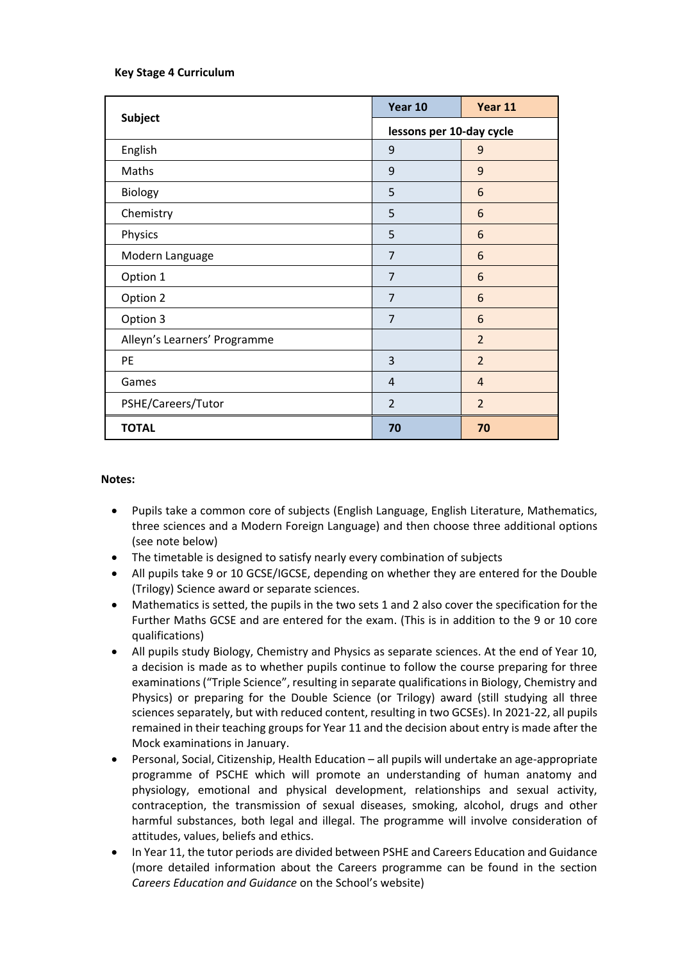# **Key Stage 4 Curriculum**

|                              | Year 10                  | Year 11        |  |
|------------------------------|--------------------------|----------------|--|
| Subject                      | lessons per 10-day cycle |                |  |
| English                      | 9                        | 9              |  |
| Maths                        | 9                        | 9              |  |
| Biology                      | 5                        | 6              |  |
| Chemistry                    | 5                        | 6              |  |
| Physics                      | 5                        | 6              |  |
| Modern Language              | $\overline{7}$           | 6              |  |
| Option 1                     | 7                        | 6              |  |
| Option 2                     | $\overline{7}$           | 6              |  |
| Option 3                     | $\overline{7}$           | 6              |  |
| Alleyn's Learners' Programme |                          | $\overline{2}$ |  |
| PE                           | 3                        | $\overline{2}$ |  |
| Games                        | 4                        | $\overline{4}$ |  |
| PSHE/Careers/Tutor           | $\overline{2}$           | $\overline{2}$ |  |
| <b>TOTAL</b>                 | 70                       | 70             |  |

### **Notes:**

- Pupils take a common core of subjects (English Language, English Literature, Mathematics, three sciences and a Modern Foreign Language) and then choose three additional options (see note below)
- The timetable is designed to satisfy nearly every combination of subjects
- All pupils take 9 or 10 GCSE/IGCSE, depending on whether they are entered for the Double (Trilogy) Science award or separate sciences.
- Mathematics is setted, the pupils in the two sets 1 and 2 also cover the specification for the Further Maths GCSE and are entered for the exam. (This is in addition to the 9 or 10 core qualifications)
- All pupils study Biology, Chemistry and Physics as separate sciences. At the end of Year 10, a decision is made as to whether pupils continue to follow the course preparing for three examinations ("Triple Science", resulting in separate qualifications in Biology, Chemistry and Physics) or preparing for the Double Science (or Trilogy) award (still studying all three sciences separately, but with reduced content, resulting in two GCSEs). In 2021-22, all pupils remained in their teaching groups for Year 11 and the decision about entry is made after the Mock examinations in January.
- Personal, Social, Citizenship, Health Education all pupils will undertake an age-appropriate programme of PSCHE which will promote an understanding of human anatomy and physiology, emotional and physical development, relationships and sexual activity, contraception, the transmission of sexual diseases, smoking, alcohol, drugs and other harmful substances, both legal and illegal. The programme will involve consideration of attitudes, values, beliefs and ethics.
- In Year 11, the tutor periods are divided between PSHE and Careers Education and Guidance (more detailed information about the Careers programme can be found in the section *Careers Education and Guidance* on the School's website)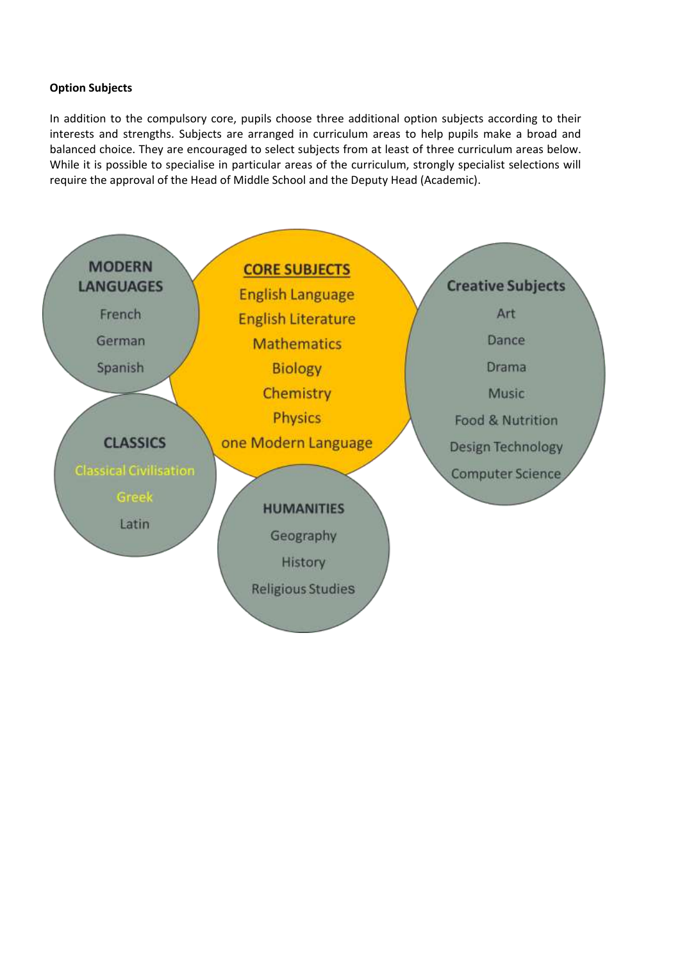# **Option Subjects**

In addition to the compulsory core, pupils choose three additional option subjects according to their interests and strengths. Subjects are arranged in curriculum areas to help pupils make a broad and balanced choice. They are encouraged to select subjects from at least of three curriculum areas below. While it is possible to specialise in particular areas of the curriculum, strongly specialist selections will require the approval of the Head of Middle School and the Deputy Head (Academic).